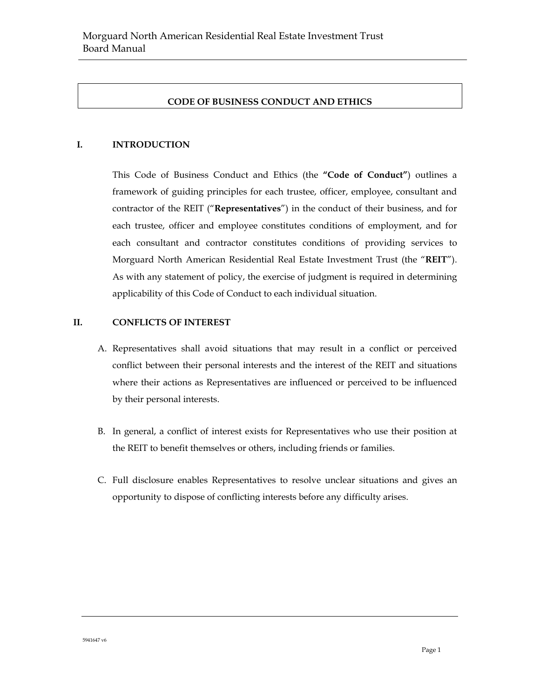# **CODE OF BUSINESS CONDUCT AND ETHICS**

#### **I. INTRODUCTION**

This Code of Business Conduct and Ethics (the **"Code of Conduct"**) outlines a framework of guiding principles for each trustee, officer, employee, consultant and contractor of the REIT ("**Representatives**") in the conduct of their business, and for each trustee, officer and employee constitutes conditions of employment, and for each consultant and contractor constitutes conditions of providing services to Morguard North American Residential Real Estate Investment Trust (the "**REIT**"). As with any statement of policy, the exercise of judgment is required in determining applicability of this Code of Conduct to each individual situation.

#### **II. CONFLICTS OF INTEREST**

- A. Representatives shall avoid situations that may result in a conflict or perceived conflict between their personal interests and the interest of the REIT and situations where their actions as Representatives are influenced or perceived to be influenced by their personal interests.
- B. In general, a conflict of interest exists for Representatives who use their position at the REIT to benefit themselves or others, including friends or families.
- C. Full disclosure enables Representatives to resolve unclear situations and gives an opportunity to dispose of conflicting interests before any difficulty arises.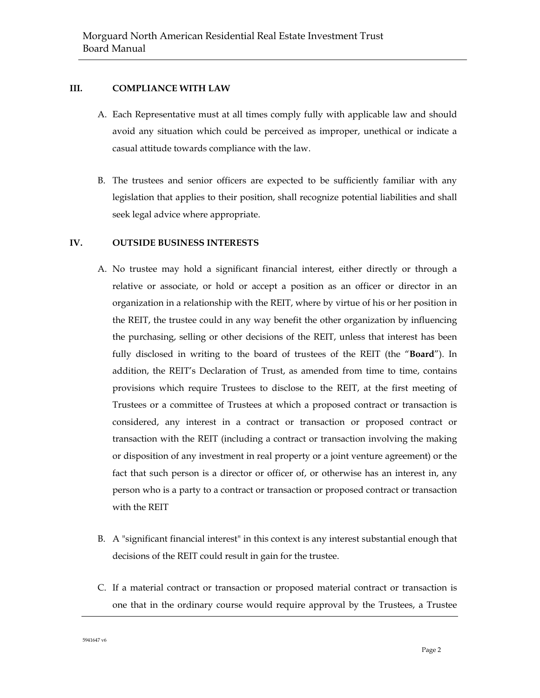# **III. COMPLIANCE WITH LAW**

- A. Each Representative must at all times comply fully with applicable law and should avoid any situation which could be perceived as improper, unethical or indicate a casual attitude towards compliance with the law.
- B. The trustees and senior officers are expected to be sufficiently familiar with any legislation that applies to their position, shall recognize potential liabilities and shall seek legal advice where appropriate.

## **IV. OUTSIDE BUSINESS INTERESTS**

- A. No trustee may hold a significant financial interest, either directly or through a relative or associate, or hold or accept a position as an officer or director in an organization in a relationship with the REIT, where by virtue of his or her position in the REIT, the trustee could in any way benefit the other organization by influencing the purchasing, selling or other decisions of the REIT, unless that interest has been fully disclosed in writing to the board of trustees of the REIT (the "**Board**"). In addition, the REIT's Declaration of Trust, as amended from time to time, contains provisions which require Trustees to disclose to the REIT, at the first meeting of Trustees or a committee of Trustees at which a proposed contract or transaction is considered, any interest in a contract or transaction or proposed contract or transaction with the REIT (including a contract or transaction involving the making or disposition of any investment in real property or a joint venture agreement) or the fact that such person is a director or officer of, or otherwise has an interest in, any person who is a party to a contract or transaction or proposed contract or transaction with the REIT
- B. A "significant financial interest" in this context is any interest substantial enough that decisions of the REIT could result in gain for the trustee.
- C. If a material contract or transaction or proposed material contract or transaction is one that in the ordinary course would require approval by the Trustees, a Trustee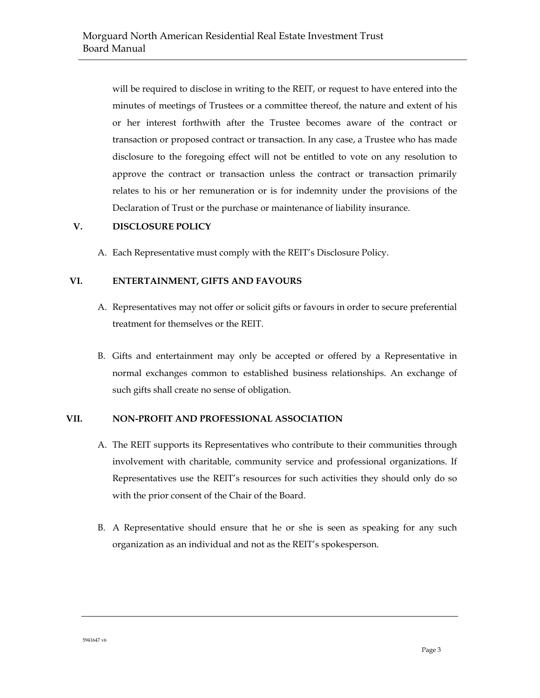will be required to disclose in writing to the REIT, or request to have entered into the minutes of meetings of Trustees or a committee thereof, the nature and extent of his or her interest forthwith after the Trustee becomes aware of the contract or transaction or proposed contract or transaction. In any case, a Trustee who has made disclosure to the foregoing effect will not be entitled to vote on any resolution to approve the contract or transaction unless the contract or transaction primarily relates to his or her remuneration or is for indemnity under the provisions of the Declaration of Trust or the purchase or maintenance of liability insurance.

#### **V. DISCLOSURE POLICY**

A. Each Representative must comply with the REIT's Disclosure Policy.

# **VI. ENTERTAINMENT, GIFTS AND FAVOURS**

- A. Representatives may not offer or solicit gifts or favours in order to secure preferential treatment for themselves or the REIT.
- B. Gifts and entertainment may only be accepted or offered by a Representative in normal exchanges common to established business relationships. An exchange of such gifts shall create no sense of obligation.

#### **VII. NON-PROFIT AND PROFESSIONAL ASSOCIATION**

- A. The REIT supports its Representatives who contribute to their communities through involvement with charitable, community service and professional organizations. If Representatives use the REIT's resources for such activities they should only do so with the prior consent of the Chair of the Board.
- B. A Representative should ensure that he or she is seen as speaking for any such organization as an individual and not as the REIT's spokesperson.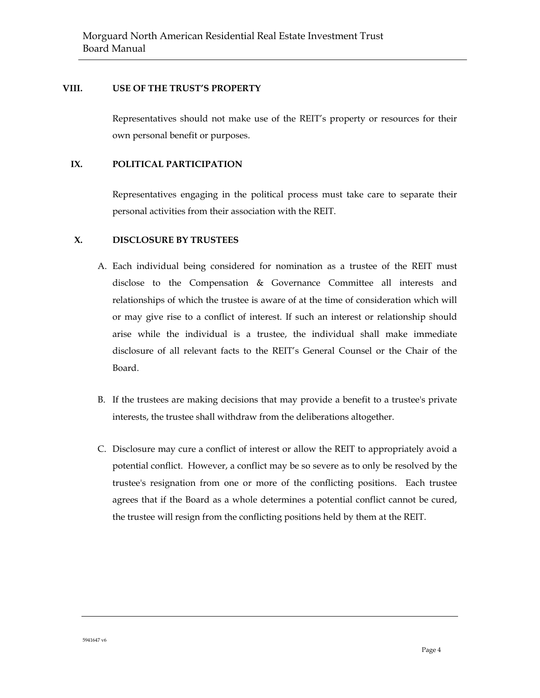### **VIII. USE OF THE TRUST'S PROPERTY**

Representatives should not make use of the REIT's property or resources for their own personal benefit or purposes.

#### **IX. POLITICAL PARTICIPATION**

Representatives engaging in the political process must take care to separate their personal activities from their association with the REIT.

## **X. DISCLOSURE BY TRUSTEES**

- A. Each individual being considered for nomination as a trustee of the REIT must disclose to the Compensation & Governance Committee all interests and relationships of which the trustee is aware of at the time of consideration which will or may give rise to a conflict of interest. If such an interest or relationship should arise while the individual is a trustee, the individual shall make immediate disclosure of all relevant facts to the REIT's General Counsel or the Chair of the Board.
- B. If the trustees are making decisions that may provide a benefit to a trustee's private interests, the trustee shall withdraw from the deliberations altogether.
- C. Disclosure may cure a conflict of interest or allow the REIT to appropriately avoid a potential conflict. However, a conflict may be so severe as to only be resolved by the trustee's resignation from one or more of the conflicting positions. Each trustee agrees that if the Board as a whole determines a potential conflict cannot be cured, the trustee will resign from the conflicting positions held by them at the REIT.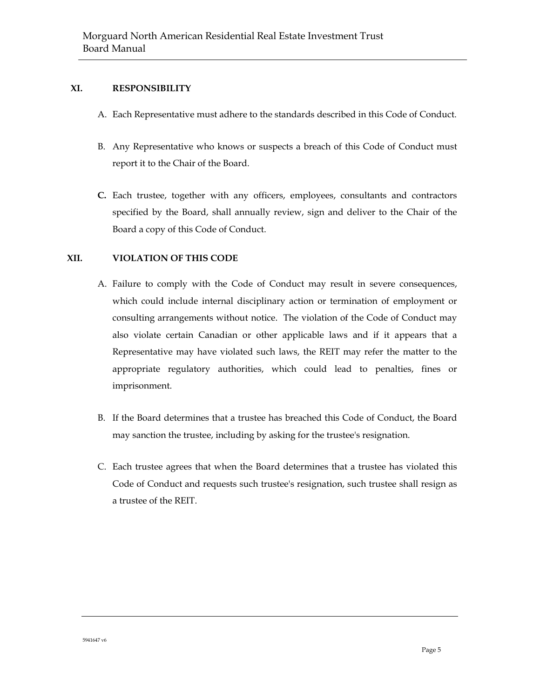# **XI. RESPONSIBILITY**

- A. Each Representative must adhere to the standards described in this Code of Conduct.
- B. Any Representative who knows or suspects a breach of this Code of Conduct must report it to the Chair of the Board.
- **C.** Each trustee, together with any officers, employees, consultants and contractors specified by the Board, shall annually review, sign and deliver to the Chair of the Board a copy of this Code of Conduct.

## **XII. VIOLATION OF THIS CODE**

- A. Failure to comply with the Code of Conduct may result in severe consequences, which could include internal disciplinary action or termination of employment or consulting arrangements without notice. The violation of the Code of Conduct may also violate certain Canadian or other applicable laws and if it appears that a Representative may have violated such laws, the REIT may refer the matter to the appropriate regulatory authorities, which could lead to penalties, fines or imprisonment.
- B. If the Board determines that a trustee has breached this Code of Conduct, the Board may sanction the trustee, including by asking for the trustee's resignation.
- C. Each trustee agrees that when the Board determines that a trustee has violated this Code of Conduct and requests such trustee's resignation, such trustee shall resign as a trustee of the REIT.